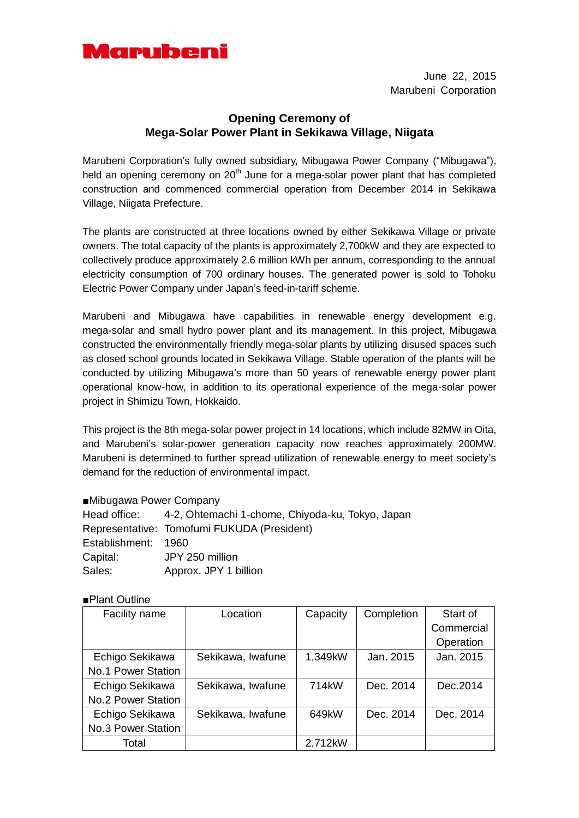

June 22, 2015 Marubeni Corporation

## **Opening Ceremony of Mega-Solar Power Plant in Sekikawa Village, Niigata**

Marubeni Corporation's fully owned subsidiary, Mibugawa Power Company ("Mibugawa"), held an opening ceremony on 20<sup>th</sup> June for a mega-solar power plant that has completed construction and commenced commercial operation from December 2014 in Sekikawa Village, Niigata Prefecture.

The plants are constructed at three locations owned by either Sekikawa Village or private owners. The total capacity of the plants is approximately 2,700kW and they are expected to collectively produce approximately 2.6 million kWh per annum, corresponding to the annual electricity consumption of 700 ordinary houses. The generated power is sold to Tohoku Electric Power Company under Japan's feed-in-tariff scheme.

Marubeni and Mibugawa have capabilities in renewable energy development e.g. mega-solar and small hydro power plant and its management. In this project, Mibugawa constructed the environmentally friendly mega-solar plants by utilizing disused spaces such as closed school grounds located in Sekikawa Village. Stable operation of the plants will be conducted by utilizing Mibugawa's more than 50 years of renewable energy power plant operational know-how, in addition to its operational experience of the mega-solar power project in Shimizu Town, Hokkaido.

This project is the 8th mega-solar power project in 14 locations, which include 82MW in Oita, and Marubeni's solar-power generation capacity now reaches approximately 200MW. Marubeni is determined to further spread utilization of renewable energy to meet society's demand for the reduction of environmental impact.

## ■Mibugawa Power Company

|                     | Head office: 4-2, Ohtemachi 1-chome, Chiyoda-ku, Tokyo, Japan |
|---------------------|---------------------------------------------------------------|
|                     | Representative: Tomofumi FUKUDA (President)                   |
| Establishment: 1960 |                                                               |
| Capital:            | JPY 250 million                                               |
| Sales:              | Approx. JPY 1 billion                                         |

## ■Plant Outline

| Facility name             | Location          | Capacity           | Completion | Start of   |
|---------------------------|-------------------|--------------------|------------|------------|
|                           |                   |                    |            | Commercial |
|                           |                   |                    |            | Operation  |
| Echigo Sekikawa           | Sekikawa, Iwafune | 1,349kW            | Jan. 2015  | Jan. 2015  |
| No.1 Power Station        |                   |                    |            |            |
| Echigo Sekikawa           | Sekikawa, Iwafune | 714 <sub>k</sub> W | Dec. 2014  | Dec. 2014  |
| <b>No.2 Power Station</b> |                   |                    |            |            |
| Echigo Sekikawa           | Sekikawa, Iwafune | 649kW              | Dec. 2014  | Dec. 2014  |
| No.3 Power Station        |                   |                    |            |            |
| Total                     |                   | 2,712kW            |            |            |